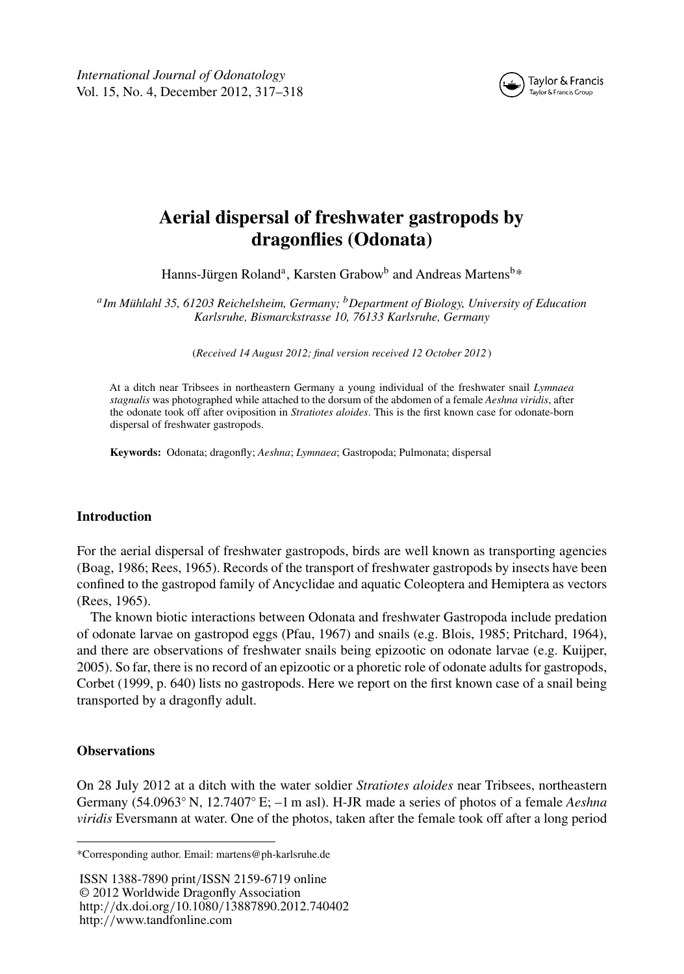*International Journal of Odonatology* Vol. 15, No. 4, December 2012, 317–318



# **Aerial dispersal of freshwater gastropods by dragonflies (Odonata)**

Hanns-Jürgen Roland<sup>a</sup>, Karsten Grabow<sup>b</sup> and Andreas Martens<sup>b\*</sup>

*<sup>a</sup>Im Mühlahl 35, 61203 Reichelsheim, Germany; <sup>b</sup>Department of Biology, University of Education Karlsruhe, Bismarckstrasse 10, 76133 Karlsruhe, Germany*

(*Received 14 August 2012; final version received 12 October 2012* )

At a ditch near Tribsees in northeastern Germany a young individual of the freshwater snail *Lymnaea stagnalis* was photographed while attached to the dorsum of the abdomen of a female *Aeshna viridis*, after the odonate took off after oviposition in *Stratiotes aloides*. This is the first known case for odonate-born dispersal of freshwater gastropods.

**Keywords:** Odonata; dragonfly; *Aeshna*; *Lymnaea*; Gastropoda; Pulmonata; dispersal

## **Introduction**

For the aerial dispersal of freshwater gastropods, birds are well known as transporting agencies (Boag, 1986; Rees, 1965). Records of the transport of freshwater gastropods by insects have been confined to the gastropod family of Ancyclidae and aquatic Coleoptera and Hemiptera as vectors (Rees, 1965).

The known biotic interactions between Odonata and freshwater Gastropoda include predation of odonate larvae on gastropod eggs (Pfau, 1967) and snails (e.g. Blois, 1985; Pritchard, 1964), and there are observations of freshwater snails being epizootic on odonate larvae (e.g. Kuijper, 2005). So far, there is no record of an epizootic or a phoretic role of odonate adults for gastropods, Corbet (1999, p. 640) lists no gastropods. Here we report on the first known case of a snail being transported by a dragonfly adult.

## **Observations**

On 28 July 2012 at a ditch with the water soldier *Stratiotes aloides* near Tribsees, northeastern Germany (54.0963◦ N, 12.7407◦ E; –1 m asl). H-JR made a series of photos of a female *Aeshna viridis* Eversmann at water. One of the photos, taken after the female took off after a long period

ISSN 1388-7890 print*/*ISSN 2159-6719 online © 2012 Worldwide Dragonfly Association http:*//*dx.doi.org*/*10.1080*/*13887890.2012.740402 http:*//*www.tandfonline.com

<sup>\*</sup>Corresponding author. Email: martens@ph-karlsruhe.de